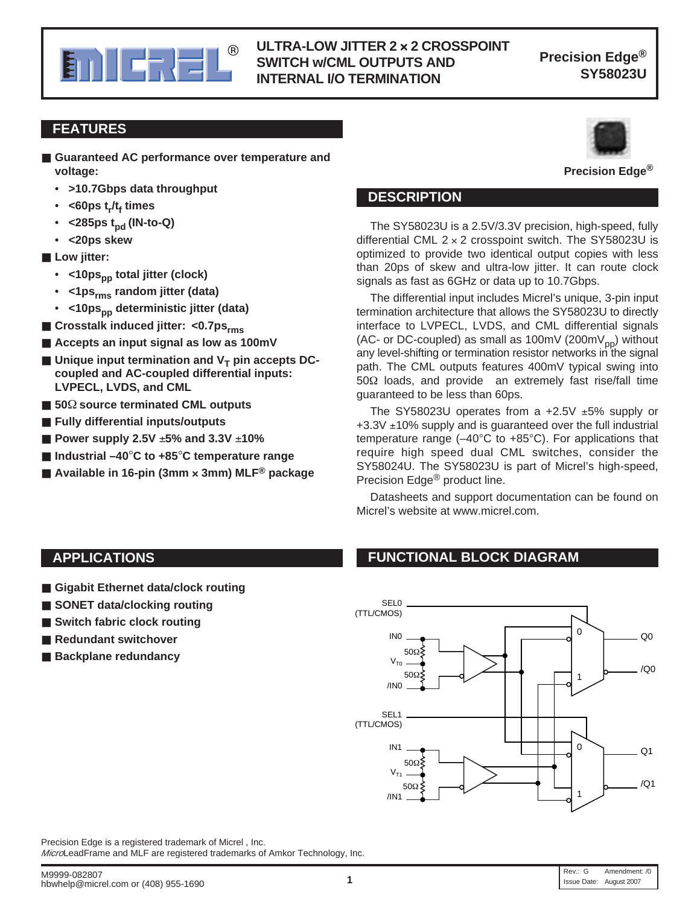

#### **E. A FIFE BULLET BULLET BULLET AND** Precision Edge<sup>®</sup> **ULTRA-LOW JITTER 2** × **2 CROSSPOINT SWITCH w/CML OUTPUTS AND INTERNAL I/O TERMINATION**

**Precision Edge®**

#### **FEATURES**

- Guaranteed AC performance over temperature and **voltage:**
	- **>10.7Gbps data throughput**
	- <60ps t<sub>r</sub>/t<sub>f</sub> times
	- **<285ps tpd (IN-to-Q)**
	- **<20ps skew**
- Low jitter:
	- <10ps<sub>pp</sub> total jitter (clock)
	- **<1psrms random jitter (data)**
	- <10ps<sub>pp</sub> deterministic jitter (data)
- Crosstalk induced jitter: <0.7ps<sub>rms</sub>
- **Accepts an input signal as low as 100mV**
- Unique input termination and V<sub>T</sub> pin accepts DC**coupled and AC-coupled differential inputs: LVPECL, LVDS, and CML**
- **50**Ω **source terminated CML outputs**
- **Fully differential inputs/outputs**
- **Power supply 2.5V ±5% and 3.3V ±10%**
- **Industrial –40<sup>°</sup>C to +85<sup>°</sup>C temperature range**
- Available in 16-pin (3mm × 3mm) MLF<sup>®</sup> package



**Precision Edge®**

#### **DESCRIPTION**

The SY58023U is a 2.5V/3.3V precision, high-speed, fully differential CML  $2 \times 2$  crosspoint switch. The SY58023U is optimized to provide two identical output copies with less than 20ps of skew and ultra-low jitter. It can route clock signals as fast as 6GHz or data up to 10.7Gbps.

The differential input includes Micrel's unique, 3-pin input termination architecture that allows the SY58023U to directly interface to LVPECL, LVDS, and CML differential signals (AC- or DC-coupled) as small as 100mV (200mV<sub>pp</sub>) without any level-shifting or termination resistor networks in the signal path. The CML outputs features 400mV typical swing into 50Ω loads, and provide an extremely fast rise/fall time guaranteed to be less than 60ps.

The SY58023U operates from a  $+2.5V \pm 5\%$  supply or  $+3.3V \pm 10\%$  supply and is guaranteed over the full industrial temperature range  $(-40^{\circ}C$  to  $+85^{\circ}C)$ . For applications that require high speed dual CML switches, consider the SY58024U. The SY58023U is part of Micrel's high-speed, Precision Edge® product line.

Datasheets and support documentation can be found on Micrel's website at www.micrel.com.

- Gigabit Ethernet data/clock routing
- **SONET** data/clocking routing
- **Switch fabric clock routing**
- **Redundant switchover**
- **Backplane redundancy**

#### **APPLICATIONS FUNCTIONAL BLOCK DIAGRAM**



Precision Edge is a registered trademark of Micrel , Inc.

MicroLeadFrame and MLF are registered trademarks of Amkor Technology, Inc.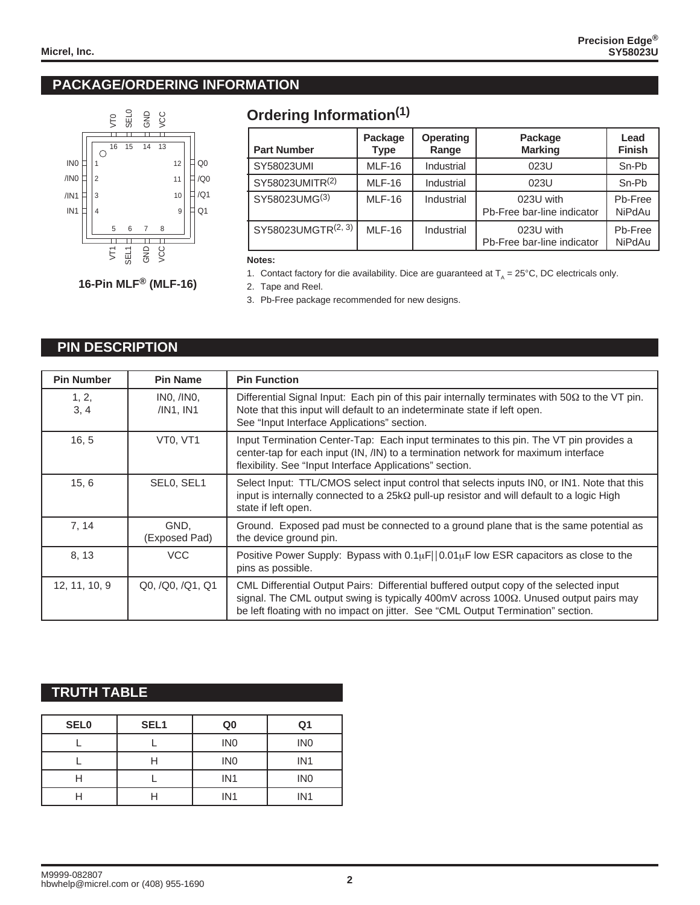#### **PACKAGE/ORDERING INFORMATION**



# **Ordering Information(1)**

| <b>Part Number</b> | Package<br><b>Type</b> | <b>Operating</b><br>Range | Package<br><b>Marking</b>               | Lead<br><b>Finish</b>    |
|--------------------|------------------------|---------------------------|-----------------------------------------|--------------------------|
| SY58023UMI         | <b>MLF-16</b>          | Industrial                | 023U                                    | Sn-Pb                    |
| SY58023UMITR(2)    | <b>MLF-16</b>          | Industrial                | 023U                                    | Sn-Pb                    |
| SY58023UMG(3)      | $MLF-16$               | Industrial                | 023U with<br>Pb-Free bar-line indicator | Pb-Free<br><b>NiPdAu</b> |
| SY58023UMGTR(2, 3) | $MLF-16$               | Industrial                | 023U with<br>Pb-Free bar-line indicator | Pb-Free<br><b>NiPdAu</b> |

**Notes:**

1. Contact factory for die availability. Dice are guaranteed at  $T_A = 25^{\circ}$ C, DC electricals only.

2. Tape and Reel.

3. Pb-Free package recommended for new designs.

#### **PIN DESCRIPTION**

| <b>Pin Number</b> | <b>Pin Name</b>                   | <b>Pin Function</b>                                                                                                                                                                                                                                                |
|-------------------|-----------------------------------|--------------------------------------------------------------------------------------------------------------------------------------------------------------------------------------------------------------------------------------------------------------------|
| 1, 2,<br>3, 4     | INO, /INO,<br>/IN1, IN1           | Differential Signal Input: Each pin of this pair internally terminates with $50\Omega$ to the VT pin.<br>Note that this input will default to an indeterminate state if left open.<br>See "Input Interface Applications" section.                                  |
| 16, 5             | VT <sub>0</sub> . VT <sub>1</sub> | Input Termination Center-Tap: Each input terminates to this pin. The VT pin provides a<br>center-tap for each input (IN, /IN) to a termination network for maximum interface<br>flexibility. See "Input Interface Applications" section.                           |
| 15, 6             | SELO, SEL1                        | Select Input: TTL/CMOS select input control that selects inputs IN0, or IN1. Note that this<br>input is internally connected to a $25k\Omega$ pull-up resistor and will default to a logic High<br>state if left open.                                             |
| 7, 14             | GND.<br>(Exposed Pad)             | Ground. Exposed pad must be connected to a ground plane that is the same potential as<br>the device ground pin.                                                                                                                                                    |
| 8, 13             | <b>VCC</b>                        | Positive Power Supply: Bypass with $0.1\mu$ F  $0.01\mu$ F low ESR capacitors as close to the<br>pins as possible.                                                                                                                                                 |
| 12, 11, 10, 9     | Q0, /Q0, /Q1, Q1                  | CML Differential Output Pairs: Differential buffered output copy of the selected input<br>signal. The CML output swing is typically 400mV across 100Ω. Unused output pairs may<br>be left floating with no impact on jitter. See "CML Output Termination" section. |

#### **TRUTH TABLE**

| <b>SEL0</b> | SEL <sub>1</sub> | Q <sub>0</sub>  | Q <sub>1</sub>  |
|-------------|------------------|-----------------|-----------------|
|             |                  | IN <sub>0</sub> | IN <sub>0</sub> |
|             | Н                | IN <sub>0</sub> | IN <sub>1</sub> |
|             |                  | IN <sub>1</sub> | IN <sub>0</sub> |
|             |                  | IN <sub>1</sub> | IN <sub>1</sub> |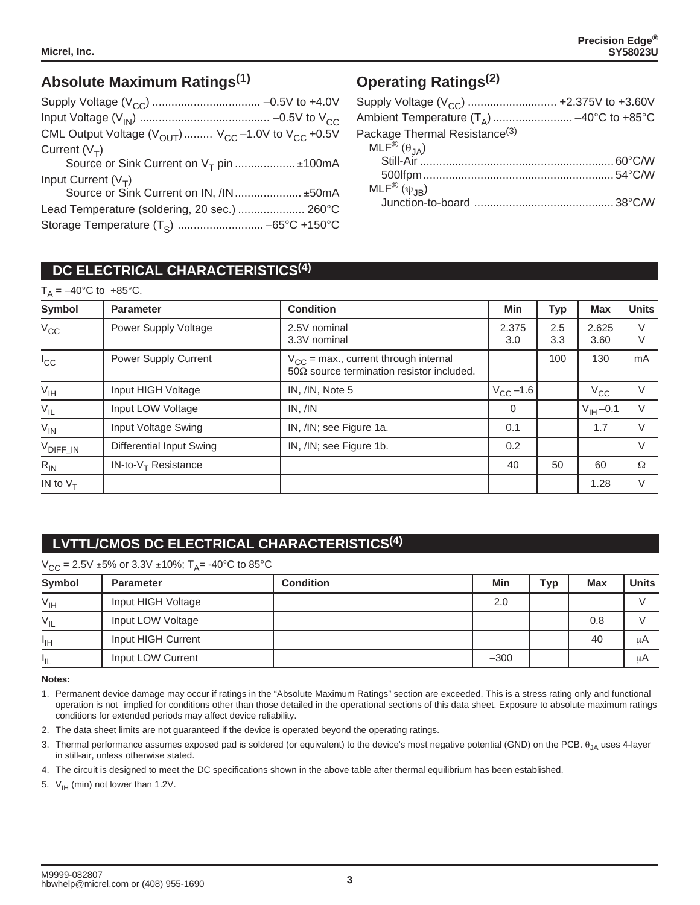# **Absolute Maximum Ratings(1)**

| CML Output Voltage $(V_{\text{OUT}})$ $V_{\text{CC}}$ -1.0V to $V_{\text{CC}}$ +0.5V |  |
|--------------------------------------------------------------------------------------|--|
| Current $(V_T)$                                                                      |  |
| Source or Sink Current on $V_T$ pin $\pm$ 100mA                                      |  |
| Input Current $(V_T)$                                                                |  |
| Source or Sink Current on IN, /IN ±50mA                                              |  |
| Lead Temperature (soldering, 20 sec.)  260°C                                         |  |
|                                                                                      |  |

# **Operating Ratings(2)**

| Supply Voltage (V <sub>CC</sub> )  +2.375V to +3.60V |  |
|------------------------------------------------------|--|
| Ambient Temperature $(T_A)$ -40°C to +85°C           |  |
| Package Thermal Resistance <sup>(3)</sup>            |  |
|                                                      |  |
|                                                      |  |
|                                                      |  |
| $MLF^{\circledR}(\psi_{JB})$                         |  |
|                                                      |  |

## **DC ELECTRICAL CHARACTERISTICS(4)**

| $T_A = -40^{\circ}$ C to +85°C. |                          |                                                                                               |               |            |                       |              |
|---------------------------------|--------------------------|-----------------------------------------------------------------------------------------------|---------------|------------|-----------------------|--------------|
| <b>Symbol</b>                   | <b>Parameter</b>         | <b>Condition</b>                                                                              | Min           | Тур        | <b>Max</b>            | <b>Units</b> |
| $V_{CC}$                        | Power Supply Voltage     | 2.5V nominal<br>3.3V nominal                                                                  | 2.375<br>3.0  | 2.5<br>3.3 | 2.625<br>3.60         | $\vee$<br>V  |
| $I_{\rm CC}$                    | Power Supply Current     | $V_{CC}$ = max., current through internal<br>$50\Omega$ source termination resistor included. |               | 100        | 130                   | mA           |
| $\rm V_{IH}$                    | Input HIGH Voltage       | IN, /IN, Note 5                                                                               | $V_{CC}$ –1.6 |            | $V_{\rm CC}$          | $\vee$       |
| $\rm V_{\rm IL}$                | Input LOW Voltage        | IN, /IN                                                                                       | 0             |            | $V_{\text{IH}} - 0.1$ |              |
| $V_{\text{IN}}$                 | Input Voltage Swing      | IN, /IN; see Figure 1a.                                                                       | 0.1           |            | 1.7                   | $\vee$       |
| V <sub>DIFF_IN</sub>            | Differential Input Swing | IN, /IN; see Figure 1b.                                                                       | 0.2           |            |                       | $\vee$       |
| $R_{IN}$                        | $IN-to-VT$ Resistance    |                                                                                               | 40            | 50         | 60                    | Ω            |
| IN to $V_T$                     |                          |                                                                                               |               |            | 1.28                  | V            |

# **LVTTL/CMOS DC ELECTRICAL CHARACTERISTICS(4)**

|                 | $V_{CC}$ = 2.5V ±5% or 3.3V ±10%; T <sub>A</sub> = -40°C to 85°C |                  |        |     |     |              |  |
|-----------------|------------------------------------------------------------------|------------------|--------|-----|-----|--------------|--|
| Symbol          | <b>Parameter</b>                                                 | <b>Condition</b> | Min    | Тур | Max | <b>Units</b> |  |
| $V_{\text{IH}}$ | Input HIGH Voltage                                               |                  | 2.0    |     |     |              |  |
| $V_{IL}$        | Input LOW Voltage                                                |                  |        |     | 0.8 |              |  |
| <sup>1</sup> IH | Input HIGH Current                                               |                  |        |     | 40  | μA           |  |
| ŀμ              | Input LOW Current                                                |                  | $-300$ |     |     | μA           |  |

**Notes:**

- 1. Permanent device damage may occur if ratings in the "Absolute Maximum Ratings" section are exceeded. This is a stress rating only and functional operation is not implied for conditions other than those detailed in the operational sections of this data sheet. Exposure to absolute maximum ratings conditions for extended periods may affect device reliability.
- 2. The data sheet limits are not guaranteed if the device is operated beyond the operating ratings.
- 3. Thermal performance assumes exposed pad is soldered (or equivalent) to the device's most negative potential (GND) on the PCB. θ<sub>JA</sub> uses 4-layer in still-air, unless otherwise stated.
- 4. The circuit is designed to meet the DC specifications shown in the above table after thermal equilibrium has been established.
- 5.  $V_{\text{IH}}$  (min) not lower than 1.2V.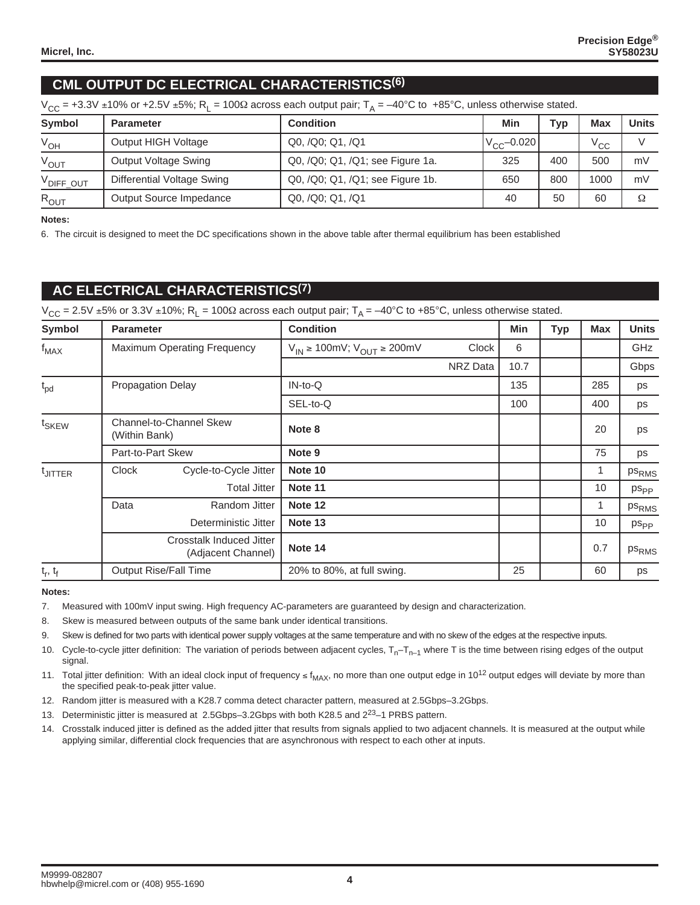## **CML OUTPUT DC ELECTRICAL CHARACTERISTICS(6)**

|  | $V_{CC}$ = +3.3V ±10% or +2.5V ±5%; R <sub>L</sub> = 100 $\Omega$ across each output pair; T <sub>A</sub> = –40°C to +85°C, unless otherwise stated. |
|--|------------------------------------------------------------------------------------------------------------------------------------------------------|
|--|------------------------------------------------------------------------------------------------------------------------------------------------------|

| <b>Symbol</b>         | <b>Parameter</b>            | <b>Condition</b>                 |                  | Typ | Max      | <b>Units</b>   |
|-----------------------|-----------------------------|----------------------------------|------------------|-----|----------|----------------|
| $V_{OH}$              | Output HIGH Voltage         | Q0, /Q0; Q1, /Q1                 | $ V_{CC}$ -0.020 |     | $V_{CC}$ |                |
| $V_{OUT}$             | <b>Output Voltage Swing</b> | Q0, /Q0; Q1, /Q1; see Figure 1a. | 325              | 400 | 500      | mV             |
| V <sub>DIFF_OUT</sub> | Differential Voltage Swing  | Q0, /Q0; Q1, /Q1; see Figure 1b. | 650              | 800 | 1000     | m <sub>V</sub> |
| $R_{OUT}$             | Output Source Impedance     | Q0, /Q0; Q1, /Q1                 | 40               | 50  | 60       | Ω              |

#### **Notes:**

6. The circuit is designed to meet the DC specifications shown in the above table after thermal equilibrium has been established

#### **AC ELECTRICAL CHARACTERISTICS(7)**

 $V_{CC}$  = 2.5V ±5% or 3.3V ±10%; R<sub>L</sub> = 100 $\Omega$  across each output pair; T<sub>A</sub> = -40°C to +85°C, unless otherwise stated.

| <b>Symbol</b>       | <b>Parameter</b>                                |                                                | <b>Condition</b>                                   |          | Min  | Typ | <b>Max</b> | <b>Units</b>      |
|---------------------|-------------------------------------------------|------------------------------------------------|----------------------------------------------------|----------|------|-----|------------|-------------------|
| $f_{MAX}$           | <b>Maximum Operating Frequency</b>              |                                                | $V_{IN} \ge 100$ mV; V <sub>OUT</sub> $\ge 200$ mV | Clock    | 6    |     |            | GHz               |
|                     |                                                 |                                                |                                                    | NRZ Data | 10.7 |     |            | Gbps              |
| $t_{pd}$            | <b>Propagation Delay</b>                        |                                                | $IN-to-Q$                                          |          | 135  |     | 285        | ps                |
|                     |                                                 |                                                | SEL-to-Q                                           |          | 100  |     | 400        | ps                |
| t <sub>SKEW</sub>   | <b>Channel-to-Channel Skew</b><br>(Within Bank) |                                                | Note 8                                             |          |      |     | 20         | ps                |
|                     | Part-to-Part Skew                               |                                                | Note 9                                             |          |      |     | 75         | ps                |
| <sup>t</sup> JITTER | Clock                                           | Cycle-to-Cycle Jitter                          | Note 10                                            |          |      |     | 1          | ps <sub>RMS</sub> |
|                     |                                                 | <b>Total Jitter</b>                            | Note 11                                            |          |      |     | 10         | $p_{\rm SPP}$     |
|                     | Data                                            | Random Jitter                                  | Note 12                                            |          |      |     | 1          | ps <sub>RMS</sub> |
|                     |                                                 | Deterministic Jitter                           | Note 13                                            |          |      |     | 10         | $p_{\rm SPP}$     |
|                     |                                                 | Crosstalk Induced Jitter<br>(Adjacent Channel) | Note 14                                            |          |      |     | 0.7        | ps <sub>RMS</sub> |
| $t_r, t_f$          |                                                 | <b>Output Rise/Fall Time</b>                   | 20% to 80%, at full swing.                         |          | 25   |     | 60         | ps                |

#### **Notes:**

7. Measured with 100mV input swing. High frequency AC-parameters are guaranteed by design and characterization.

8. Skew is measured between outputs of the same bank under identical transitions.

9. Skew is defined for two parts with identical power supply voltages at the same temperature and with no skew of the edges at the respective inputs.

10. Cycle-to-cycle jitter definition: The variation of periods between adjacent cycles,  $T_{n-1}T_{n-1}$  where T is the time between rising edges of the output signal.

11. Total jitter definition: With an ideal clock input of frequency ≤ f<sub>MAX</sub>, no more than one output edge in 10<sup>12</sup> output edges will deviate by more than the specified peak-to-peak jitter value.

12. Random jitter is measured with a K28.7 comma detect character pattern, measured at 2.5Gbps–3.2Gbps.

13. Deterministic jitter is measured at 2.5Gbps–3.2Gbps with both K28.5 and  $2^{23}$ –1 PRBS pattern.

14. Crosstalk induced jitter is defined as the added jitter that results from signals applied to two adjacent channels. It is measured at the output while applying similar, differential clock frequencies that are asynchronous with respect to each other at inputs.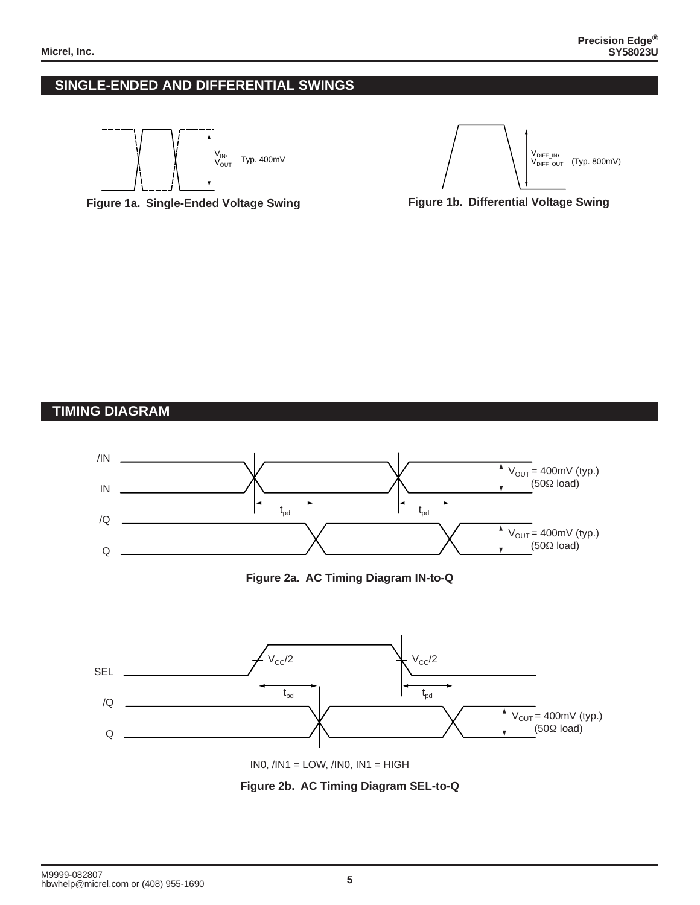#### **SINGLE-ENDED AND DIFFERENTIAL SWINGS**









## **TIMING DIAGRAM**



**Figure 2b. AC Timing Diagram SEL-to-Q**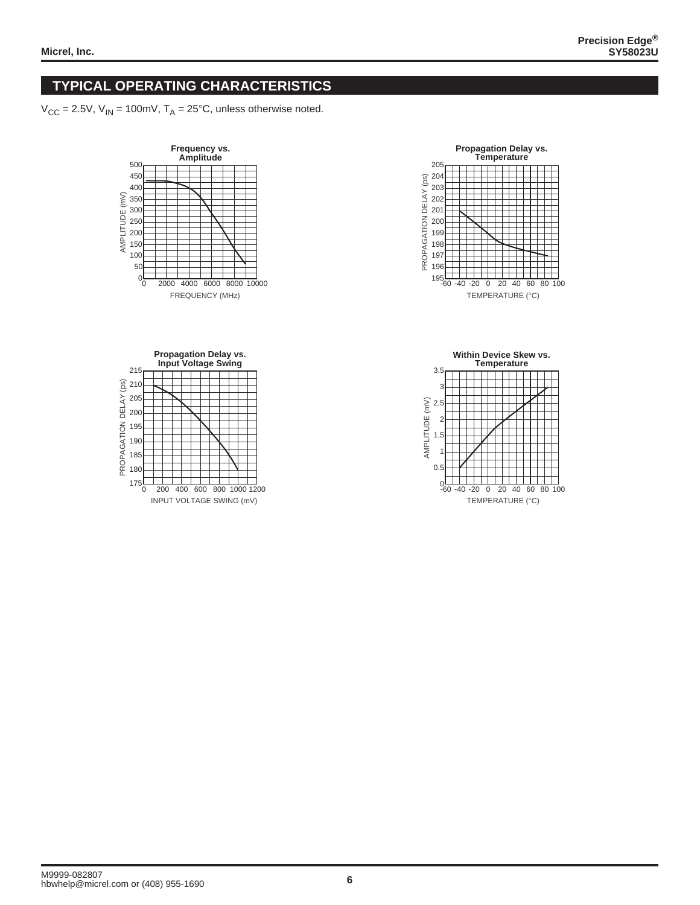## **TYPICAL OPERATING CHARACTERISTICS**

 $V_{CC}$  = 2.5V,  $V_{IN}$  = 100mV,  $T_A$  = 25°C, unless otherwise noted.







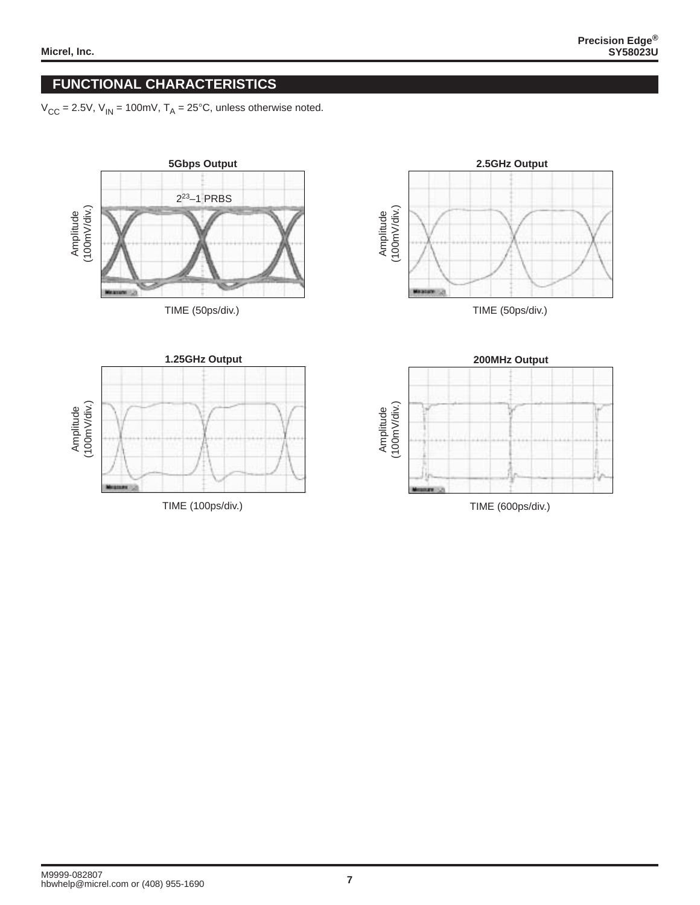## **FUNCTIONAL CHARACTERISTICS**

 $V_{CC} = 2.5V$ ,  $V_{IN} = 100$ mV,  $T_A = 25^{\circ}$ C, unless otherwise noted.

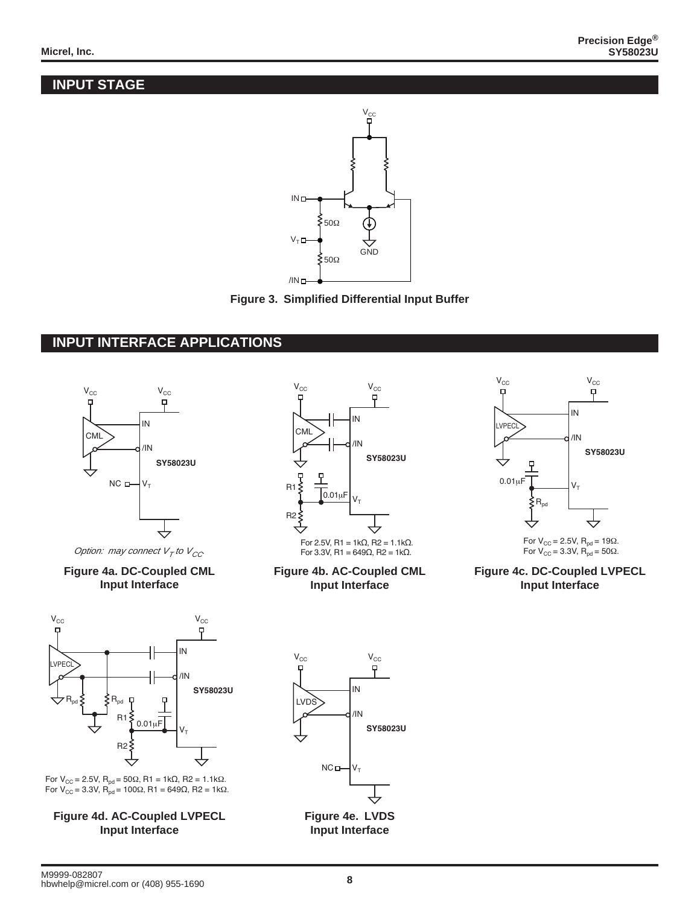# **INPUT STAGE**





## **INPUT INTERFACE APPLICATIONS**





**Figure 4b. AC-Coupled CML Input Interface**



For V<sub>CC</sub> = 2.5V,  $R_{pd}$  = 19Ω. For  $V_{CC}$  = 3.3V,  $R_{pd}$  = 50 $\Omega$ .

**Figure 4c. DC-Coupled LVPECL Input Interface**



For V<sub>CC</sub> = 2.5V, R<sub>pd</sub> = 50Ω, R1 = 1kΩ, R2 = 1.1kΩ. For V<sub>CC</sub> = 3.3V, R<sub>pd</sub> = 100Ω, R1 = 649Ω, R2 = 1kΩ.

**Figure 4d. AC-Coupled LVPECL Input Interface**



**Input Interface**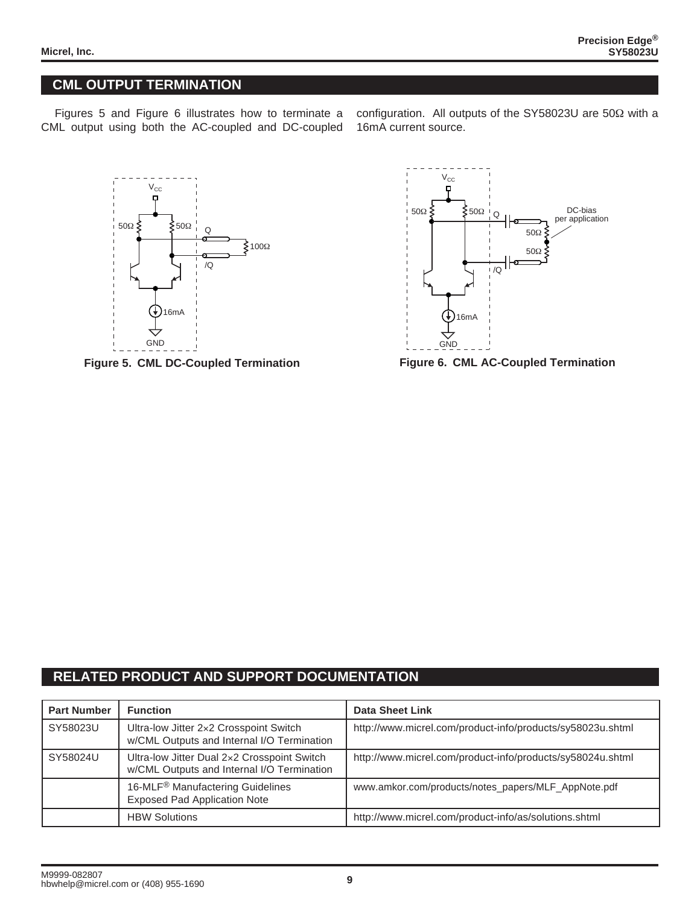# **CML OUTPUT TERMINATION**

Figures 5 and Figure 6 illustrates how to terminate a CML output using both the AC-coupled and DC-coupled

configuration. All outputs of the SY58023U are 50Ω with a 16mA current source.



**Figure 5. CML DC-Coupled Termination**



**Figure 6. CML AC-Coupled Termination**

#### **RELATED PRODUCT AND SUPPORT DOCUMENTATION**

| <b>Part Number</b> | <b>Function</b>                                                                           | Data Sheet Link                                            |
|--------------------|-------------------------------------------------------------------------------------------|------------------------------------------------------------|
| SY58023U           | Ultra-low Jitter 2×2 Crosspoint Switch<br>w/CML Outputs and Internal I/O Termination      | http://www.micrel.com/product-info/products/sy58023u.shtml |
| SY58024U           | Ultra-low Jitter Dual 2x2 Crosspoint Switch<br>w/CML Outputs and Internal I/O Termination | http://www.micrel.com/product-info/products/sy58024u.shtml |
|                    | 16-MLF <sup>®</sup> Manufactering Guidelines<br><b>Exposed Pad Application Note</b>       | www.amkor.com/products/notes_papers/MLF_AppNote.pdf        |
|                    | <b>HBW Solutions</b>                                                                      | http://www.micrel.com/product-info/as/solutions.shtml      |